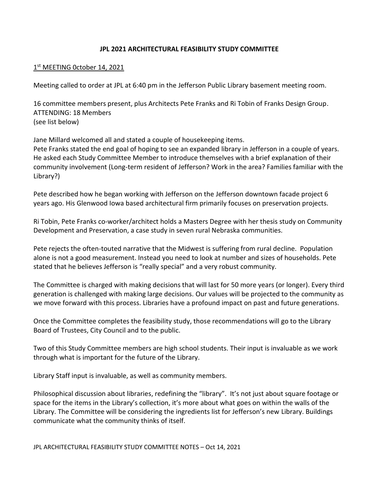## **JPL 2021 ARCHITECTURAL FEASIBILITY STUDY COMMITTEE**

## 1<sup>st</sup> MEETING October 14, 2021

Meeting called to order at JPL at 6:40 pm in the Jefferson Public Library basement meeting room.

16 committee members present, plus Architects Pete Franks and Ri Tobin of Franks Design Group. ATTENDING: 18 Members (see list below)

Jane Millard welcomed all and stated a couple of housekeeping items.

Pete Franks stated the end goal of hoping to see an expanded library in Jefferson in a couple of years. He asked each Study Committee Member to introduce themselves with a brief explanation of their community involvement (Long-term resident of Jefferson? Work in the area? Families familiar with the Library?)

Pete described how he began working with Jefferson on the Jefferson downtown facade project 6 years ago. His Glenwood Iowa based architectural firm primarily focuses on preservation projects.

Ri Tobin, Pete Franks co-worker/architect holds a Masters Degree with her thesis study on Community Development and Preservation, a case study in seven rural Nebraska communities.

Pete rejects the often-touted narrative that the Midwest is suffering from rural decline. Population alone is not a good measurement. Instead you need to look at number and sizes of households. Pete stated that he believes Jefferson is "really special" and a very robust community.

The Committee is charged with making decisions that will last for 50 more years (or longer). Every third generation is challenged with making large decisions. Our values will be projected to the community as we move forward with this process. Libraries have a profound impact on past and future generations.

Once the Committee completes the feasibility study, those recommendations will go to the Library Board of Trustees, City Council and to the public.

Two of this Study Committee members are high school students. Their input is invaluable as we work through what is important for the future of the Library.

Library Staff input is invaluable, as well as community members.

Philosophical discussion about libraries, redefining the "library". It's not just about square footage or space for the items in the Library's collection, it's more about what goes on within the walls of the Library. The Committee will be considering the ingredients list for Jefferson's new Library. Buildings communicate what the community thinks of itself.

JPL ARCHITECTURAL FEASIBILITY STUDY COMMITTEE NOTES – Oct 14, 2021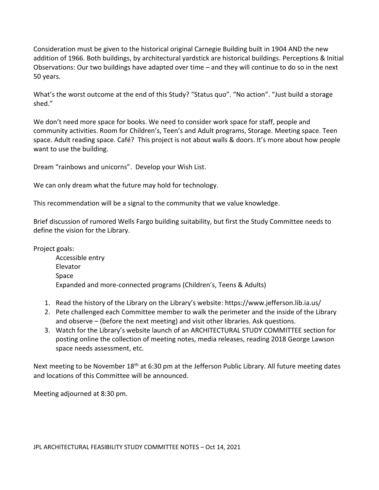Consideration must be given to the historical original Carnegie Building built in 1904 AND the new addition of 1966. Both buildings, by architectural yardstick are historical buildings. Perceptions & Initial Observations: Our two buildings have adapted over time – and they will continue to do so in the next 50 years.

What's the worst outcome at the end of this Study? "Status quo". "No action". "Just build a storage shed."

We don't need more space for books. We need to consider work space for staff, people and community activities. Room for Children's, Teen's and Adult programs, Storage. Meeting space. Teen space. Adult reading space. Café? This project is not about walls & doors. It's more about how people want to use the building.

Dream "rainbows and unicorns". Develop your Wish List.

We can only dream what the future may hold for technology.

This recommendation will be a signal to the community that we value knowledge.

Brief discussion of rumored Wells Fargo building suitability, but first the Study Committee needs to define the vision for the Library.

Project goals:

Accessible entry Elevator Space Expanded and more-connected programs (Children's, Teens & Adults)

- 1. Read the history of the Library on the Library's website: https://www.jefferson.lib.ia.us/
- 2. Pete challenged each Committee member to walk the perimeter and the inside of the Library and observe – (before the next meeting) and visit other libraries. Ask questions.
- 3. Watch for the Library's website launch of an ARCHITECTURAL STUDY COMMITTEE section for posting online the collection of meeting notes, media releases, reading 2018 George Lawson space needs assessment, etc.

Next meeting to be November  $18<sup>th</sup>$  at 6:30 pm at the Jefferson Public Library. All future meeting dates and locations of this Committee will be announced.

Meeting adjourned at 8:30 pm.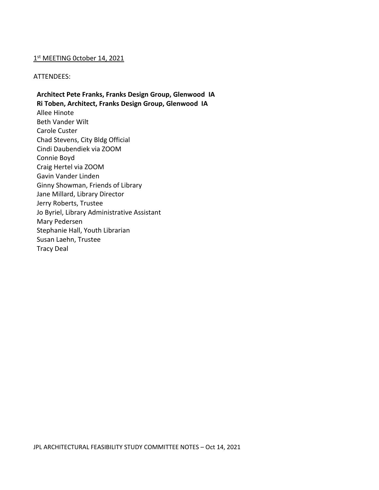## 1st MEETING October 14, 2021

## ATTENDEES:

**Architect Pete Franks, Franks Design Group, Glenwood IA Ri Toben, Architect, Franks Design Group, Glenwood IA** Allee Hinote Beth Vander Wilt Carole Custer Chad Stevens, City Bldg Official Cindi Daubendiek via ZOOM Connie Boyd Craig Hertel via ZOOM Gavin Vander Linden Ginny Showman, Friends of Library Jane Millard, Library Director Jerry Roberts, Trustee Jo Byriel, Library Administrative Assistant Mary Pedersen Stephanie Hall, Youth Librarian Susan Laehn, Trustee Tracy Deal